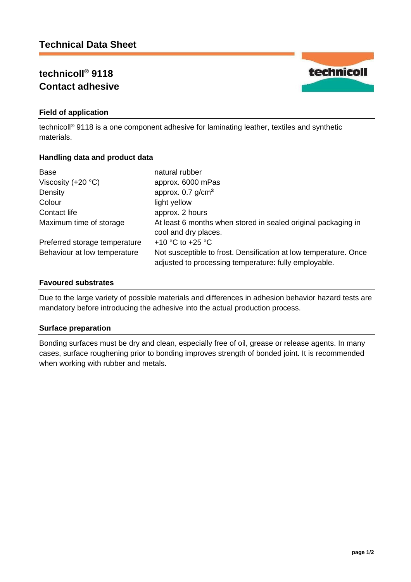# **technicoll® 9118 Contact adhesive**



technicoll® 9118 is a one component adhesive for laminating leather, textiles and synthetic materials.

## **Handling data and product data**

| <b>Base</b>                   | natural rubber                                                                                                            |
|-------------------------------|---------------------------------------------------------------------------------------------------------------------------|
| Viscosity $(+20 °C)$          | approx. 6000 mPas                                                                                                         |
| Density                       | approx. $0.7$ g/cm <sup>3</sup>                                                                                           |
| Colour                        | light yellow                                                                                                              |
| Contact life                  | approx. 2 hours                                                                                                           |
| Maximum time of storage       | At least 6 months when stored in sealed original packaging in<br>cool and dry places.                                     |
| Preferred storage temperature | +10 $^{\circ}$ C to +25 $^{\circ}$ C                                                                                      |
| Behaviour at low temperature  | Not susceptible to frost. Densification at low temperature. Once<br>adjusted to processing temperature: fully employable. |

### **Favoured substrates**

Due to the large variety of possible materials and differences in adhesion behavior hazard tests are mandatory before introducing the adhesive into the actual production process.

### **Surface preparation**

Bonding surfaces must be dry and clean, especially free of oil, grease or release agents. In many cases, surface roughening prior to bonding improves strength of bonded joint. It is recommended when working with rubber and metals.